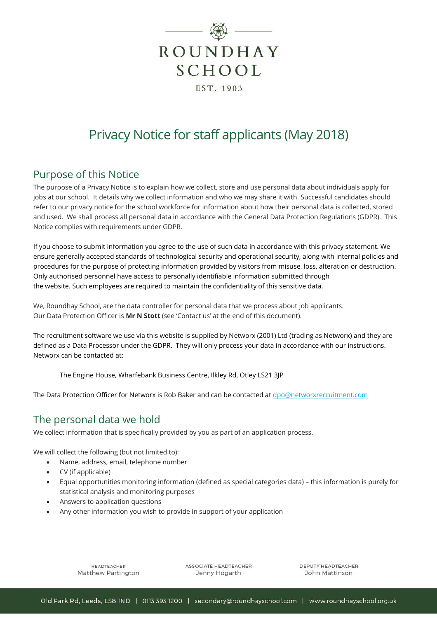

# Privacy Notice for staff applicants (May 2018)

### Purpose of this Notice

The purpose of a Privacy Notice is to explain how we collect, store and use personal data about individuals apply for jobs at our school. It details why we collect information and who we may share it with. Successful candidates should refer to our privacy notice for the school workforce for information about how their personal data is collected, stored and used. We shall process all personal data in accordance with the General Data Protection Regulations (GDPR). This Notice complies with requirements under GDPR.

If you choose to submit information you agree to the use of such data in accordance with this privacy statement. We ensure generally accepted standards of technological security and operational security, along with internal policies and procedures for the purpose of protecting information provided by visitors from misuse, loss, alteration or destruction. Only authorised personnel have access to personally identifiable information submitted through the website. Such employees are required to maintain the confidentiality of this sensitive data.

We, Roundhay School, are the data controller for personal data that we process about job applicants. Our Data Protection Officer is **Mr N Stott** (see 'Contact us' at the end of this document).

The recruitment software we use via this website is supplied by Networx (2001) Ltd (trading as Networx) and they are defined as a Data Processor under the GDPR. They will only process your data in accordance with our instructions. Networx can be contacted at:

The Engine House, Wharfebank Business Centre, Ilkley Rd, Otley LS21 3JP

The Data Protection Officer for Networx is Rob Baker and can be contacted a[t dpo@networxrecruitment.com](mailto:dpo@networxrecruitment.com)

### The personal data we hold

We collect information that is specifically provided by you as part of an application process.

We will collect the following (but not limited to):

- Name, address, email, telephone number
- CV (if applicable)
- Equal opportunities monitoring information (defined as special categories data) this information is purely for statistical analysis and monitoring purposes
- Answers to application questions
- Any other information you wish to provide in support of your application

**HEADTEACHER** Matthew Partington ASSOCIATE HEADTEACHER Jenny Hogarth

DEPUTY HEADTEACHER John Mattinson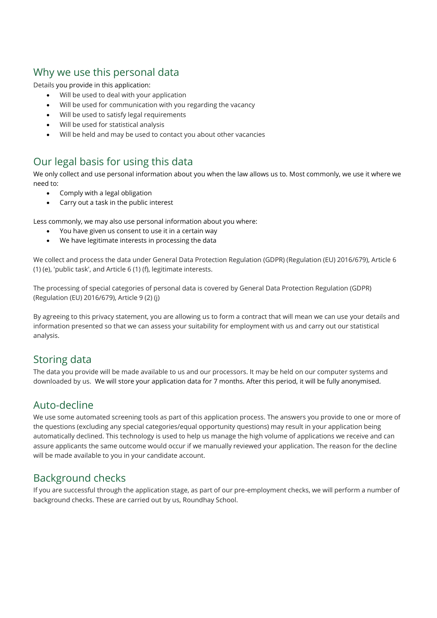# Why we use this personal data

Details you provide in this application:

- Will be used to deal with your application
- Will be used for communication with you regarding the vacancy
- Will be used to satisfy legal requirements
- Will be used for statistical analysis
- Will be held and may be used to contact you about other vacancies

# Our legal basis for using this data

We only collect and use personal information about you when the law allows us to. Most commonly, we use it where we need to:

- Comply with a legal obligation
- Carry out a task in the public interest

Less commonly, we may also use personal information about you where:

- You have given us consent to use it in a certain way
- We have legitimate interests in processing the data

We collect and process the data under General Data Protection Regulation (GDPR) (Regulation (EU) 2016/679), Article 6 (1) (e), 'public task', and Article 6 (1) (f), legitimate interests.

The processing of special categories of personal data is covered by General Data Protection Regulation (GDPR) (Regulation (EU) 2016/679), Article 9 (2) (j)

By agreeing to this privacy statement, you are allowing us to form a contract that will mean we can use your details and information presented so that we can assess your suitability for employment with us and carry out our statistical analysis.

### Storing data

The data you provide will be made available to us and our processors. It may be held on our computer systems and downloaded by us. We will store your application data for 7 months. After this period, it will be fully anonymised.

### Auto-decline

We use some automated screening tools as part of this application process. The answers you provide to one or more of the questions (excluding any special categories/equal opportunity questions) may result in your application being automatically declined. This technology is used to help us manage the high volume of applications we receive and can assure applicants the same outcome would occur if we manually reviewed your application. The reason for the decline will be made available to you in your candidate account.

### Background checks

If you are successful through the application stage, as part of our pre-employment checks, we will perform a number of background checks. These are carried out by us, Roundhay School.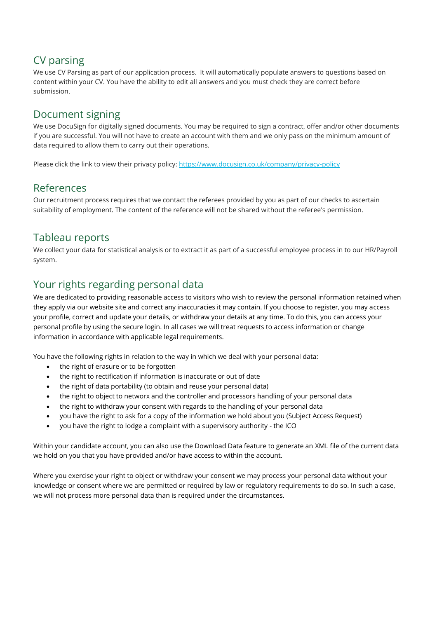# CV parsing

We use CV Parsing as part of our application process. It will automatically populate answers to questions based on content within your CV. You have the ability to edit all answers and you must check they are correct before submission.

### Document signing

We use DocuSign for digitally signed documents. You may be required to sign a contract, offer and/or other documents if you are successful. You will not have to create an account with them and we only pass on the minimum amount of data required to allow them to carry out their operations.

Please click the link to view their privacy policy[: https://www.docusign.co.uk/company/privacy-policy](https://www.docusign.co.uk/company/privacy-policy)

#### References

Our recruitment process requires that we contact the referees provided by you as part of our checks to ascertain suitability of employment. The content of the reference will not be shared without the referee's permission.

#### Tableau reports

We collect your data for statistical analysis or to extract it as part of a successful employee process in to our HR/Payroll system.

### Your rights regarding personal data

We are dedicated to providing reasonable access to visitors who wish to review the personal information retained when they apply via our website site and correct any inaccuracies it may contain. If you choose to register, you may access your profile, correct and update your details, or withdraw your details at any time. To do this, you can access your personal profile by using the secure login. In all cases we will treat requests to access information or change information in accordance with applicable legal requirements.

You have the following rights in relation to the way in which we deal with your personal data:

- the right of erasure or to be forgotten
- the right to rectification if information is inaccurate or out of date
- the right of data portability (to obtain and reuse your personal data)
- the right to object to networx and the controller and processors handling of your personal data
- the right to withdraw your consent with regards to the handling of your personal data
- you have the right to ask for a copy of the information we hold about you (Subject Access Request)
- you have the right to lodge a complaint with a supervisory authority the ICO

Within your candidate account, you can also use the Download Data feature to generate an XML file of the current data we hold on you that you have provided and/or have access to within the account.

Where you exercise your right to object or withdraw your consent we may process your personal data without your knowledge or consent where we are permitted or required by law or regulatory requirements to do so. In such a case, we will not process more personal data than is required under the circumstances.